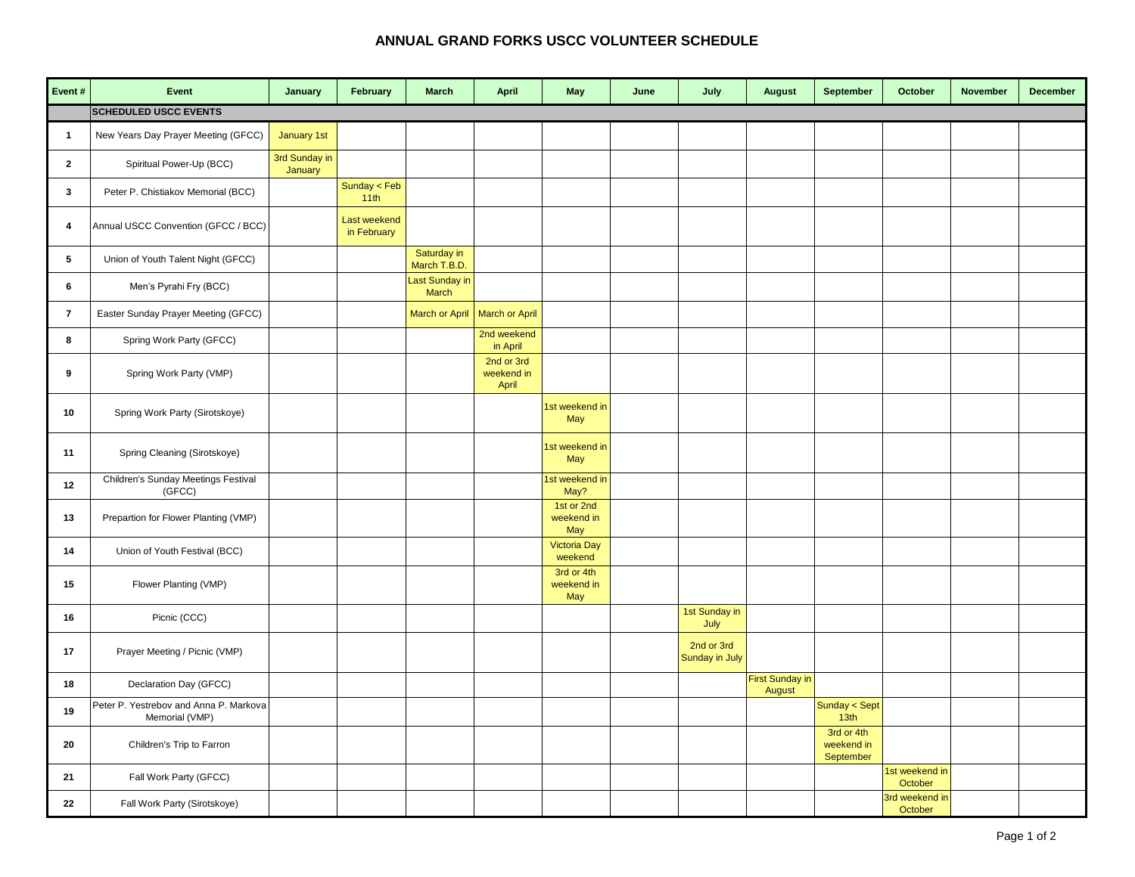## **ANNUAL GRAND FORKS USCC VOLUNTEER SCHEDULE**

| Event#         | Event                                                    | January                  | February                           | <b>March</b>                | <b>April</b>                      | May                             | June | July                         | <b>August</b>             | September                             | October                   | November | <b>December</b> |
|----------------|----------------------------------------------------------|--------------------------|------------------------------------|-----------------------------|-----------------------------------|---------------------------------|------|------------------------------|---------------------------|---------------------------------------|---------------------------|----------|-----------------|
|                | <b>SCHEDULED USCC EVENTS</b>                             |                          |                                    |                             |                                   |                                 |      |                              |                           |                                       |                           |          |                 |
| 1              | New Years Day Prayer Meeting (GFCC)                      | January 1st              |                                    |                             |                                   |                                 |      |                              |                           |                                       |                           |          |                 |
| $\overline{2}$ | Spiritual Power-Up (BCC)                                 | 3rd Sunday in<br>January |                                    |                             |                                   |                                 |      |                              |                           |                                       |                           |          |                 |
| 3              | Peter P. Chistiakov Memorial (BCC)                       |                          | Sunday $<$ Feb<br>11th             |                             |                                   |                                 |      |                              |                           |                                       |                           |          |                 |
| 4              | Annual USCC Convention (GFCC / BCC)                      |                          | <b>Last weekend</b><br>in February |                             |                                   |                                 |      |                              |                           |                                       |                           |          |                 |
| 5              | Union of Youth Talent Night (GFCC)                       |                          |                                    | Saturday in<br>March T.B.D. |                                   |                                 |      |                              |                           |                                       |                           |          |                 |
| 6              | Men's Pyrahi Fry (BCC)                                   |                          |                                    | Last Sunday in<br>March     |                                   |                                 |      |                              |                           |                                       |                           |          |                 |
| $\overline{7}$ | Easter Sunday Prayer Meeting (GFCC)                      |                          |                                    | <b>March or April</b>       | <b>March or April</b>             |                                 |      |                              |                           |                                       |                           |          |                 |
| 8              | Spring Work Party (GFCC)                                 |                          |                                    |                             | 2nd weekend<br>in April           |                                 |      |                              |                           |                                       |                           |          |                 |
| 9              | Spring Work Party (VMP)                                  |                          |                                    |                             | 2nd or 3rd<br>weekend in<br>April |                                 |      |                              |                           |                                       |                           |          |                 |
| 10             | Spring Work Party (Sirotskoye)                           |                          |                                    |                             |                                   | 1st weekend in<br>May           |      |                              |                           |                                       |                           |          |                 |
| 11             | Spring Cleaning (Sirotskoye)                             |                          |                                    |                             |                                   | 1st weekend in<br>May           |      |                              |                           |                                       |                           |          |                 |
| 12             | Children's Sunday Meetings Festival<br>(GFCC)            |                          |                                    |                             |                                   | 1st weekend in<br>May?          |      |                              |                           |                                       |                           |          |                 |
| 13             | Prepartion for Flower Planting (VMP)                     |                          |                                    |                             |                                   | 1st or 2nd<br>weekend in<br>May |      |                              |                           |                                       |                           |          |                 |
| 14             | Union of Youth Festival (BCC)                            |                          |                                    |                             |                                   | <b>Victoria Day</b><br>weekend  |      |                              |                           |                                       |                           |          |                 |
| 15             | Flower Planting (VMP)                                    |                          |                                    |                             |                                   | 3rd or 4th<br>weekend in<br>May |      |                              |                           |                                       |                           |          |                 |
| 16             | Picnic (CCC)                                             |                          |                                    |                             |                                   |                                 |      | 1st Sunday in<br>July        |                           |                                       |                           |          |                 |
| 17             | Prayer Meeting / Picnic (VMP)                            |                          |                                    |                             |                                   |                                 |      | 2nd or 3rd<br>Sunday in July |                           |                                       |                           |          |                 |
| 18             | Declaration Day (GFCC)                                   |                          |                                    |                             |                                   |                                 |      |                              | First Sunday in<br>August |                                       |                           |          |                 |
| 19             | Peter P. Yestrebov and Anna P. Markova<br>Memorial (VMP) |                          |                                    |                             |                                   |                                 |      |                              |                           | Sunday < Sept<br>13 <sub>th</sub>     |                           |          |                 |
| 20             | Children's Trip to Farron                                |                          |                                    |                             |                                   |                                 |      |                              |                           | 3rd or 4th<br>weekend in<br>September |                           |          |                 |
| 21             | Fall Work Party (GFCC)                                   |                          |                                    |                             |                                   |                                 |      |                              |                           |                                       | 1st weekend in<br>October |          |                 |
| 22             | Fall Work Party (Sirotskoye)                             |                          |                                    |                             |                                   |                                 |      |                              |                           |                                       | 3rd weekend in<br>October |          |                 |